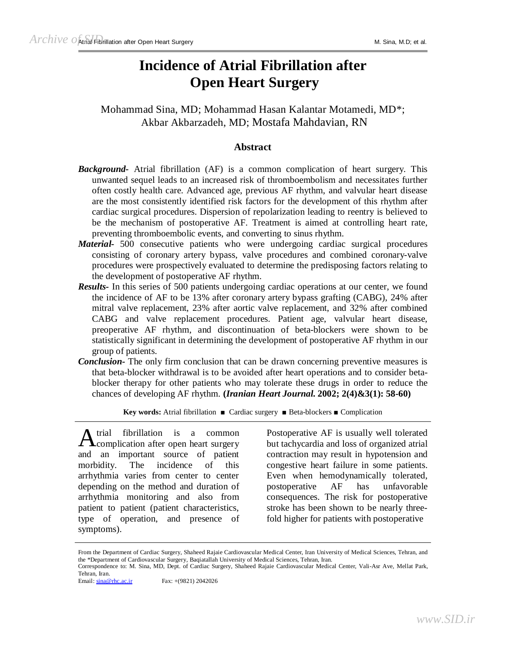# **Incidence of Atrial Fibrillation after Open Heart Surgery**

Mohammad Sina, MD; Mohammad Hasan Kalantar Motamedi, MD\*; Akbar Akbarzadeh, MD; Mostafa Mahdavian, RN

## **Abstract**

- *Background-* Atrial fibrillation (AF) is a common complication of heart surgery. This unwanted sequel leads to an increased risk of thromboembolism and necessitates further often costly health care. Advanced age, previous AF rhythm, and valvular heart disease are the most consistently identified risk factors for the development of this rhythm after cardiac surgical procedures. Dispersion of repolarization leading to reentry is believed to be the mechanism of postoperative AF. Treatment is aimed at controlling heart rate, preventing thromboembolic events, and converting to sinus rhythm.
- *Material-* 500 consecutive patients who were undergoing cardiac surgical procedures consisting of coronary artery bypass, valve procedures and combined coronary-valve procedures were prospectively evaluated to determine the predisposing factors relating to the development of postoperative AF rhythm.
- *Results-* In this series of 500 patients undergoing cardiac operations at our center, we found the incidence of AF to be 13% after coronary artery bypass grafting (CABG), 24% after mitral valve replacement, 23% after aortic valve replacement, and 32% after combined CABG and valve replacement procedures. Patient age, valvular heart disease, preoperative AF rhythm, and discontinuation of beta-blockers were shown to be statistically significant in determining the development of postoperative AF rhythm in our group of patients.
- *Conclusion-* The only firm conclusion that can be drawn concerning preventive measures is that beta-blocker withdrawal is to be avoided after heart operations and to consider betablocker therapy for other patients who may tolerate these drugs in order to reduce the chances of developing AF rhythm. **(***Iranian Heart Journal.* **2002; 2(4)&3(1): 58-60)**

**Key words:** Atrial fibrillation ■ Cardiac surgery ■ Beta-blockers ■ Complication

trial fibrillation is a common A trial fibrillation is a common<br>Complication after open heart surgery and an important source of patient morbidity. The incidence of this arrhythmia varies from center to center depending on the method and duration of arrhythmia monitoring and also from patient to patient (patient characteristics, type of operation, and presence of symptoms).

Postoperative AF is usually well tolerated but tachycardia and loss of organized atrial contraction may result in hypotension and congestive heart failure in some patients. Even when hemodynamically tolerated, postoperative AF has unfavorable consequences. The risk for postoperative stroke has been shown to be nearly threefold higher for patients with postoperative

From the Department of Cardiac Surgery, Shaheed Rajaie Cardiovascular Medical Center, Iran University of Medical Sciences, Tehran, and the \*Department of Cardiovascular Surgery, Baqiatallah University of Medical Sciences, Tehran, Iran. Correspondence to: M. Sina, MD, Dept. of Cardiac Surgery, Shaheed Rajaie Cardiovascular Medical Center, Vali-Asr Ave, Mellat Park, Tehran, Iran.

Email:  $\frac{\sin a \omega \text{ rhc.ac.ir}}{\text{Sax: +}}$  Fax: +(9821) 2042026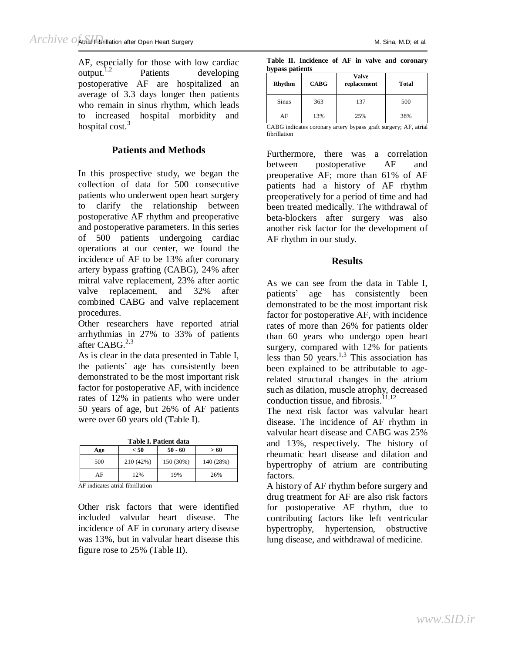AF, especially for those with low cardiac  $output<sup>1,2</sup>$  Patients developing postoperative AF are hospitalized an average of 3.3 days longer then patients who remain in sinus rhythm, which leads to increased hospital morbidity and hospital cost. $3$ 

# **Patients and Methods**

In this prospective study, we began the collection of data for 500 consecutive patients who underwent open heart surgery to clarify the relationship between postoperative AF rhythm and preoperative and postoperative parameters. In this series of 500 patients undergoing cardiac operations at our center, we found the incidence of AF to be 13% after coronary artery bypass grafting (CABG), 24% after mitral valve replacement, 23% after aortic valve replacement, and 32% after combined CABG and valve replacement procedures.

Other researchers have reported atrial arrhythmias in 27% to 33% of patients after CABG.<sup>2,3</sup>

As is clear in the data presented in Table I, the patients' age has consistently been demonstrated to be the most important risk factor for postoperative AF, with incidence rates of 12% in patients who were under 50 years of age, but 26% of AF patients were over 60 years old (Table I).

**Table I. Patient data** 

|     | < 50      | > 60      |           |  |
|-----|-----------|-----------|-----------|--|
| Age |           | $50 - 60$ |           |  |
| 500 | 210 (42%) | 150 (30%) | 140 (28%) |  |
| AF  | 12%       | 19%       | 26%       |  |

AF indicates atrial fibrillation

Other risk factors that were identified included valvular heart disease. The incidence of AF in coronary artery disease was 13%, but in valvular heart disease this figure rose to 25% (Table II).

|                 | Table II. Incidence of AF in valve and coronary |  |  |  |
|-----------------|-------------------------------------------------|--|--|--|
| bypass patients |                                                 |  |  |  |

| Rhythm                                                                       | <b>CABG</b> | Valve<br>replacement | <b>Total</b> |  |  |
|------------------------------------------------------------------------------|-------------|----------------------|--------------|--|--|
| Sinus                                                                        | 363         | 137                  | 500          |  |  |
| AF                                                                           | 13%         | 25%                  | 38%          |  |  |
| $CADC$ indicates coronary artery bypass graft surgery: $\Lambda E$<br>atriol |             |                      |              |  |  |

ABG indicates coronary artery bypass graft surgery; AF, atrial fibrillation

Furthermore, there was a correlation between postoperative AF and preoperative AF; more than 61% of AF patients had a history of AF rhythm preoperatively for a period of time and had been treated medically. The withdrawal of beta-blockers after surgery was also another risk factor for the development of AF rhythm in our study.

### **Results**

As we can see from the data in Table I, patients' age has consistently been demonstrated to be the most important risk factor for postoperative AF, with incidence rates of more than 26% for patients older than 60 years who undergo open heart surgery, compared with 12% for patients less than 50 years.<sup>1,3</sup> This association has been explained to be attributable to agerelated structural changes in the atrium such as dilation, muscle atrophy, decreased conduction tissue, and fibrosis. $11,12$ 

The next risk factor was valvular heart disease. The incidence of AF rhythm in valvular heart disease and CABG was 25% and 13%, respectively. The history of rheumatic heart disease and dilation and hypertrophy of atrium are contributing factors.

A history of AF rhythm before surgery and drug treatment for AF are also risk factors for postoperative AF rhythm, due to contributing factors like left ventricular hypertrophy, hypertension, obstructive lung disease, and withdrawal of medicine.